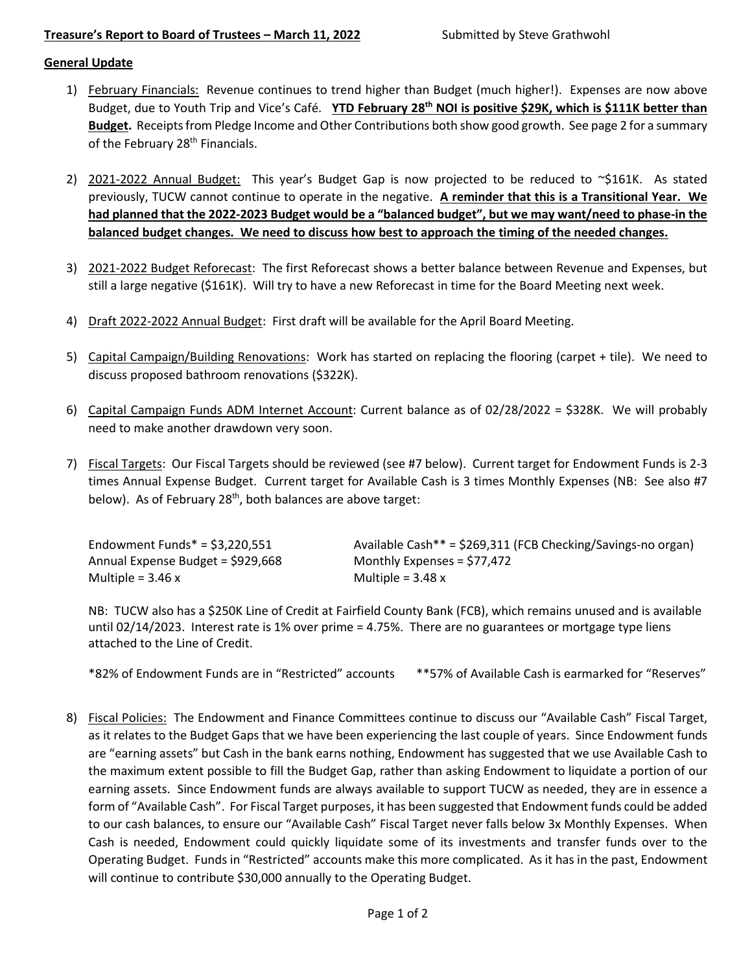## **General Update**

- 1) February Financials: Revenue continues to trend higher than Budget (much higher!). Expenses are now above Budget, due to Youth Trip and Vice's Café. **YTD February 28th NOI is positive \$29K, which is \$111K better than Budget.** Receipts from Pledge Income and Other Contributions both show good growth. See page 2 for a summary of the February 28<sup>th</sup> Financials.
- 2) 2021-2022 Annual Budget: This year's Budget Gap is now projected to be reduced to  $\sim$ \$161K. As stated previously, TUCW cannot continue to operate in the negative. **A reminder that this is a Transitional Year. We had planned that the 2022-2023 Budget would be a "balanced budget", but we may want/need to phase-in the balanced budget changes. We need to discuss how best to approach the timing of the needed changes.**
- 3) 2021-2022 Budget Reforecast: The first Reforecast shows a better balance between Revenue and Expenses, but still a large negative (\$161K). Will try to have a new Reforecast in time for the Board Meeting next week.
- 4) Draft 2022-2022 Annual Budget: First draft will be available for the April Board Meeting.
- 5) Capital Campaign/Building Renovations: Work has started on replacing the flooring (carpet + tile). We need to discuss proposed bathroom renovations (\$322K).
- 6) Capital Campaign Funds ADM Internet Account: Current balance as of 02/28/2022 = \$328K. We will probably need to make another drawdown very soon.
- 7) Fiscal Targets: Our Fiscal Targets should be reviewed (see #7 below). Current target for Endowment Funds is 2-3 times Annual Expense Budget. Current target for Available Cash is 3 times Monthly Expenses (NB: See also #7 below). As of February 28<sup>th</sup>, both balances are above target:

| Endowment Funds* = $$3,220,551$   | Available Cash** = \$269,311 (FCB Checking/Savings-no organ) |
|-----------------------------------|--------------------------------------------------------------|
| Annual Expense Budget = \$929,668 | Monthly Expenses = $$77,472$                                 |
| Multiple = $3.46x$                | Multiple = $3.48x$                                           |

NB: TUCW also has a \$250K Line of Credit at Fairfield County Bank (FCB), which remains unused and is available until 02/14/2023. Interest rate is 1% over prime = 4.75%. There are no guarantees or mortgage type liens attached to the Line of Credit.

\*82% of Endowment Funds are in "Restricted" accounts \*\*57% of Available Cash is earmarked for "Reserves"

8) Fiscal Policies: The Endowment and Finance Committees continue to discuss our "Available Cash" Fiscal Target, as it relates to the Budget Gaps that we have been experiencing the last couple of years. Since Endowment funds are "earning assets" but Cash in the bank earns nothing, Endowment has suggested that we use Available Cash to the maximum extent possible to fill the Budget Gap, rather than asking Endowment to liquidate a portion of our earning assets. Since Endowment funds are always available to support TUCW as needed, they are in essence a form of "Available Cash". For Fiscal Target purposes, it has been suggested that Endowment funds could be added to our cash balances, to ensure our "Available Cash" Fiscal Target never falls below 3x Monthly Expenses. When Cash is needed, Endowment could quickly liquidate some of its investments and transfer funds over to the Operating Budget. Funds in "Restricted" accounts make this more complicated. As it has in the past, Endowment will continue to contribute \$30,000 annually to the Operating Budget.